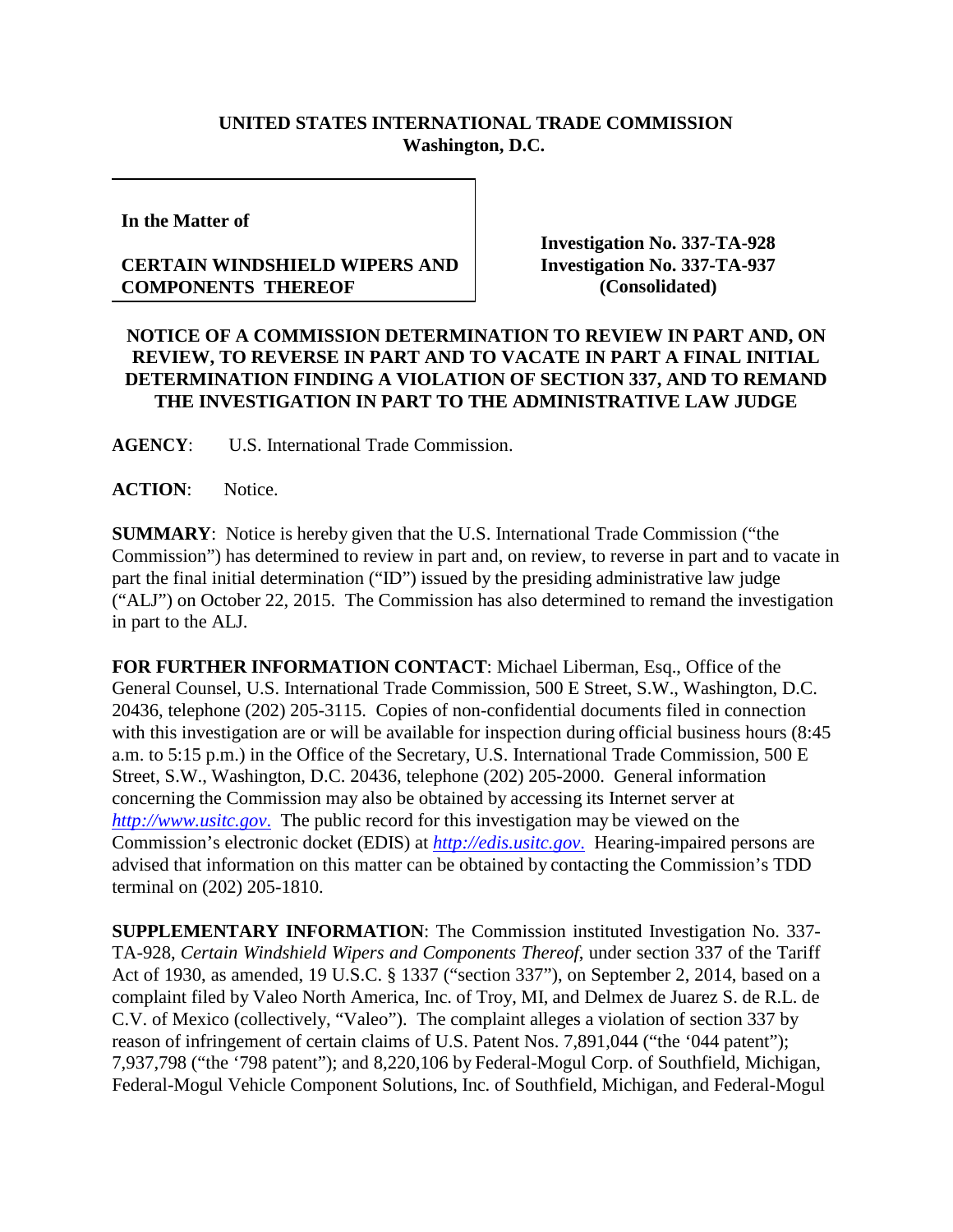## **UNITED STATES INTERNATIONAL TRADE COMMISSION Washington, D.C.**

**In the Matter of**

## **CERTAIN WINDSHIELD WIPERS AND COMPONENTS THEREOF**

**Investigation No. 337-TA-928 Investigation No. 337-TA-937 (Consolidated)**

## **NOTICE OF A COMMISSION DETERMINATION TO REVIEW IN PART AND, ON REVIEW, TO REVERSE IN PART AND TO VACATE IN PART A FINAL INITIAL DETERMINATION FINDING A VIOLATION OF SECTION 337, AND TO REMAND THE INVESTIGATION IN PART TO THE ADMINISTRATIVE LAW JUDGE**

**AGENCY**: U.S. International Trade Commission.

**ACTION**: Notice.

**SUMMARY**: Notice is hereby given that the U.S. International Trade Commission ("the Commission") has determined to review in part and, on review, to reverse in part and to vacate in part the final initial determination ("ID") issued by the presiding administrative law judge ("ALJ") on October 22, 2015. The Commission has also determined to remand the investigation in part to the ALJ.

**FOR FURTHER INFORMATION CONTACT**: Michael Liberman, Esq., Office of the General Counsel, U.S. International Trade Commission, 500 E Street, S.W., Washington, D.C. 20436, telephone (202) 205-3115. Copies of non-confidential documents filed in connection with this investigation are or will be available for inspection during official business hours (8:45 a.m. to 5:15 p.m.) in the Office of the Secretary, U.S. International Trade Commission, 500 E Street, S.W., Washington, D.C. 20436, telephone (202) 205-2000. General information concerning the Commission may also be obtained by accessing its Internet server at *[http://www.usitc.gov](http://www.usitc.gov./)*. The public record for this investigation may be viewed on the Commission's electronic docket (EDIS) at *[http://edis.usitc.gov](http://edis.usitc.gov./)*. Hearing-impaired persons are advised that information on this matter can be obtained by contacting the Commission's TDD terminal on (202) 205-1810.

**SUPPLEMENTARY INFORMATION**: The Commission instituted Investigation No. 337- TA-928, *Certain Windshield Wipers and Components Thereof*, under section 337 of the Tariff Act of 1930, as amended, 19 U.S.C. § 1337 ("section 337"), on September 2, 2014, based on a complaint filed by Valeo North America, Inc. of Troy, MI, and Delmex de Juarez S. de R.L. de C.V. of Mexico (collectively, "Valeo"). The complaint alleges a violation of section 337 by reason of infringement of certain claims of U.S. Patent Nos. 7,891,044 ("the '044 patent"); 7,937,798 ("the '798 patent"); and 8,220,106 by Federal-Mogul Corp. of Southfield, Michigan, Federal-Mogul Vehicle Component Solutions, Inc. of Southfield, Michigan, and Federal-Mogul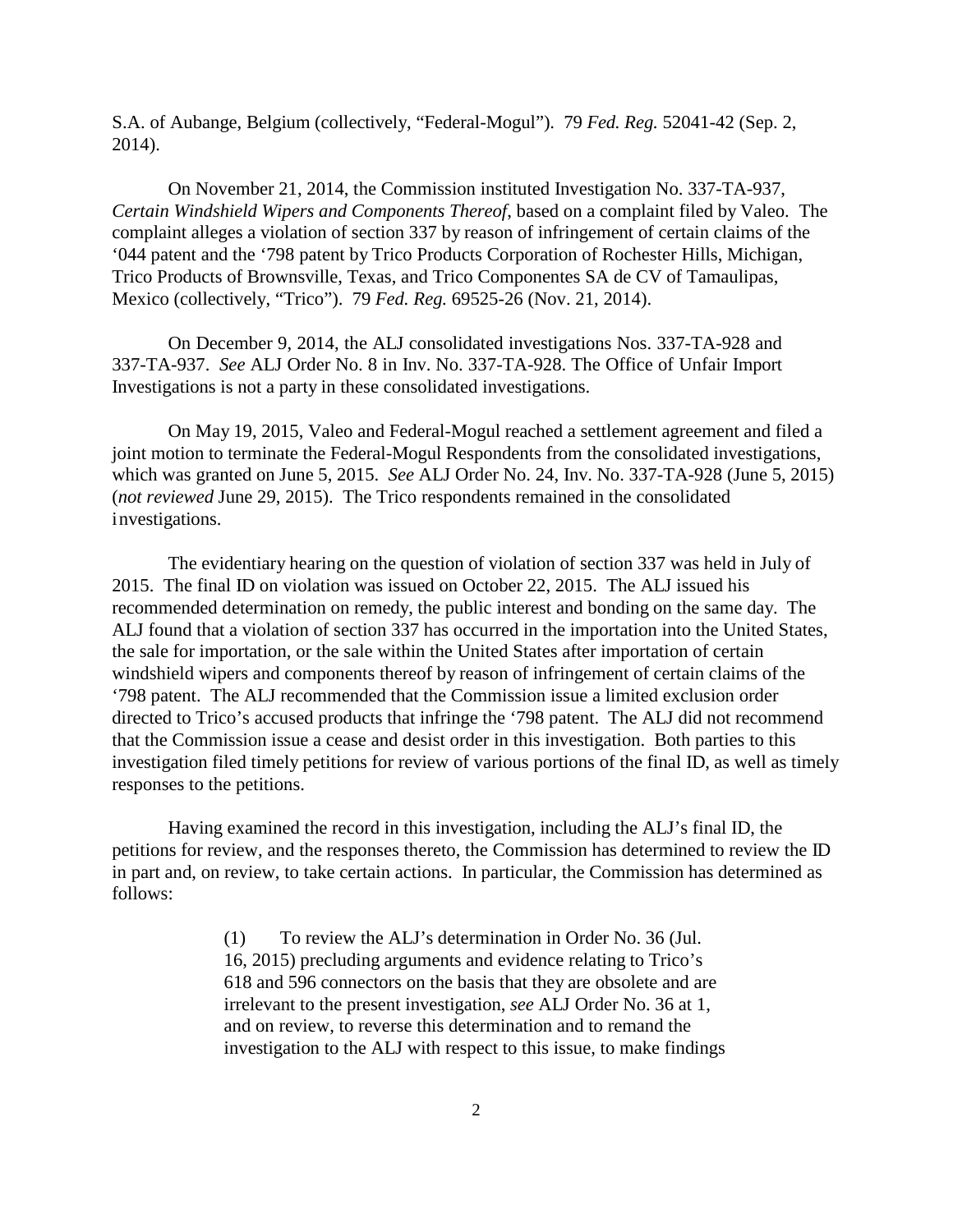S.A. of Aubange, Belgium (collectively, "Federal-Mogul"). 79 *Fed. Reg.* 52041-42 (Sep. 2, 2014).

On November 21, 2014, the Commission instituted Investigation No. 337-TA-937, *Certain Windshield Wipers and Components Thereof*, based on a complaint filed by Valeo. The complaint alleges a violation of section 337 by reason of infringement of certain claims of the '044 patent and the '798 patent by Trico Products Corporation of Rochester Hills, Michigan, Trico Products of Brownsville, Texas, and Trico Componentes SA de CV of Tamaulipas, Mexico (collectively, "Trico"). 79 *Fed. Reg.* 69525-26 (Nov. 21, 2014).

On December 9, 2014, the ALJ consolidated investigations Nos. 337-TA-928 and 337-TA-937. *See* ALJ Order No. 8 in Inv. No. 337-TA-928. The Office of Unfair Import Investigations is not a party in these consolidated investigations.

On May 19, 2015, Valeo and Federal-Mogul reached a settlement agreement and filed a joint motion to terminate the Federal-Mogul Respondents from the consolidated investigations, which was granted on June 5, 2015. *See* ALJ Order No. 24, Inv. No. 337-TA-928 (June 5, 2015) (*not reviewed* June 29, 2015). The Trico respondents remained in the consolidated investigations.

The evidentiary hearing on the question of violation of section 337 was held in July of 2015. The final ID on violation was issued on October 22, 2015. The ALJ issued his recommended determination on remedy, the public interest and bonding on the same day. The ALJ found that a violation of section 337 has occurred in the importation into the United States, the sale for importation, or the sale within the United States after importation of certain windshield wipers and components thereof by reason of infringement of certain claims of the '798 patent. The ALJ recommended that the Commission issue a limited exclusion order directed to Trico's accused products that infringe the '798 patent. The ALJ did not recommend that the Commission issue a cease and desist order in this investigation. Both parties to this investigation filed timely petitions for review of various portions of the final ID, as well as timely responses to the petitions.

Having examined the record in this investigation, including the ALJ's final ID, the petitions for review, and the responses thereto, the Commission has determined to review the ID in part and, on review, to take certain actions. In particular, the Commission has determined as follows:

> (1) To review the ALJ's determination in Order No. 36 (Jul. 16, 2015) precluding arguments and evidence relating to Trico's 618 and 596 connectors on the basis that they are obsolete and are irrelevant to the present investigation, *see* ALJ Order No. 36 at 1, and on review, to reverse this determination and to remand the investigation to the ALJ with respect to this issue, to make findings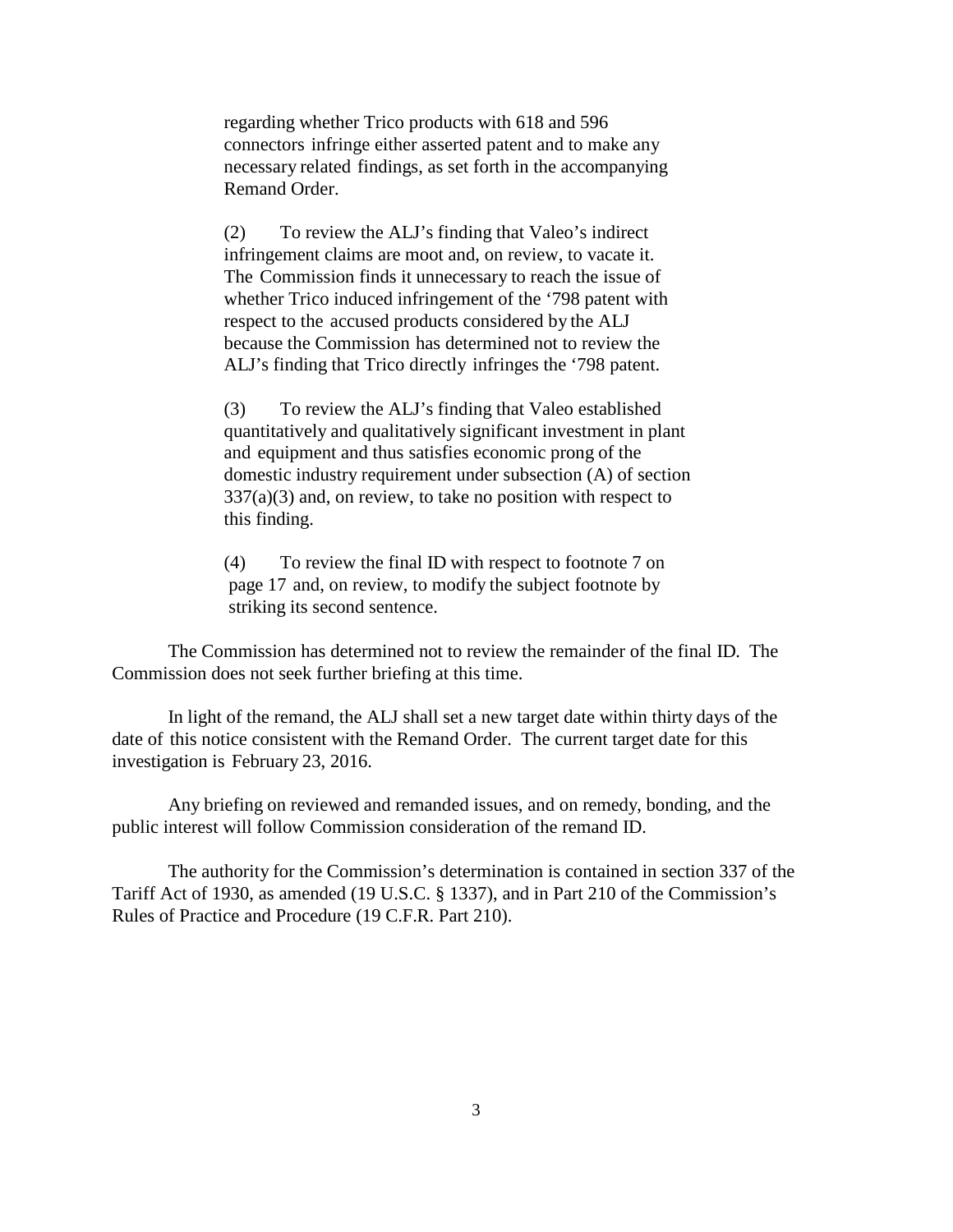regarding whether Trico products with 618 and 596 connectors infringe either asserted patent and to make any necessary related findings, as set forth in the accompanying Remand Order.

(2) To review the ALJ's finding that Valeo's indirect infringement claims are moot and, on review, to vacate it. The Commission finds it unnecessary to reach the issue of whether Trico induced infringement of the '798 patent with respect to the accused products considered by the ALJ because the Commission has determined not to review the ALJ's finding that Trico directly infringes the '798 patent.

(3) To review the ALJ's finding that Valeo established quantitatively and qualitatively significant investment in plant and equipment and thus satisfies economic prong of the domestic industry requirement under subsection (A) of section  $337(a)(3)$  and, on review, to take no position with respect to this finding.

(4) To review the final ID with respect to footnote 7 on page 17 and, on review, to modify the subject footnote by striking its second sentence.

The Commission has determined not to review the remainder of the final ID. The Commission does not seek further briefing at this time.

In light of the remand, the ALJ shall set a new target date within thirty days of the date of this notice consistent with the Remand Order. The current target date for this investigation is February 23, 2016.

Any briefing on reviewed and remanded issues, and on remedy, bonding, and the public interest will follow Commission consideration of the remand ID.

The authority for the Commission's determination is contained in section 337 of the Tariff Act of 1930, as amended (19 U.S.C. § 1337), and in Part 210 of the Commission's Rules of Practice and Procedure (19 C.F.R. Part 210).